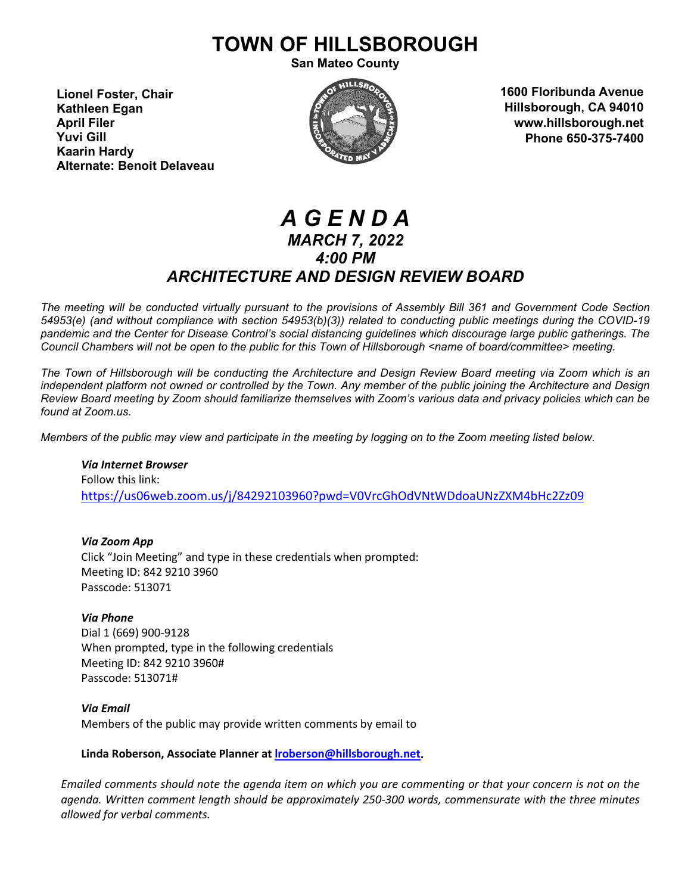# **TOWN OF HILLSBOROUGH**

**San Mateo County**

**Lionel Foster, Chair Kathleen Egan April Filer Yuvi Gill Kaarin Hardy Alternate: Benoit Delaveau**



**1600 Floribunda Avenue Hillsborough, CA 94010 www.hillsborough.net Phone 650-375-7400**

# *A G E N D A MARCH 7, 2022 4:00 PM ARCHITECTURE AND DESIGN REVIEW BOARD*

*The meeting will be conducted virtually pursuant to the provisions of Assembly Bill 361 and Government Code Section 54953(e) (and without compliance with section 54953(b)(3)) related to conducting public meetings during the COVID-19 pandemic and the Center for Disease Control's social distancing guidelines which discourage large public gatherings. The Council Chambers will not be open to the public for this Town of Hillsborough <name of board/committee> meeting.*

*The Town of Hillsborough will be conducting the Architecture and Design Review Board meeting via Zoom which is an independent platform not owned or controlled by the Town. Any member of the public joining the Architecture and Design Review Board meeting by Zoom should familiarize themselves with Zoom's various data and privacy policies which can be found at Zoom.us.*

*Members of the public may view and participate in the meeting by logging on to the Zoom meeting listed below.* 

*Via Internet Browser* Follow this link: <https://us06web.zoom.us/j/84292103960?pwd=V0VrcGhOdVNtWDdoaUNzZXM4bHc2Zz09>

*Via Zoom App* Click "Join Meeting" and type in these credentials when prompted: Meeting ID: 842 9210 3960 Passcode: 513071

*Via Phone* Dial 1 (669) 900-9128 When prompted, type in the following credentials Meeting ID: 842 9210 3960# Passcode: 513071#

*Via Email*

Members of the public may provide written comments by email to

**Linda Roberson, Associate Planner a[t lroberson@hillsborough.net.](mailto:lroberson@hillsborough.net)**

*Emailed comments should note the agenda item on which you are commenting or that your concern is not on the agenda. Written comment length should be approximately 250-300 words, commensurate with the three minutes allowed for verbal comments.*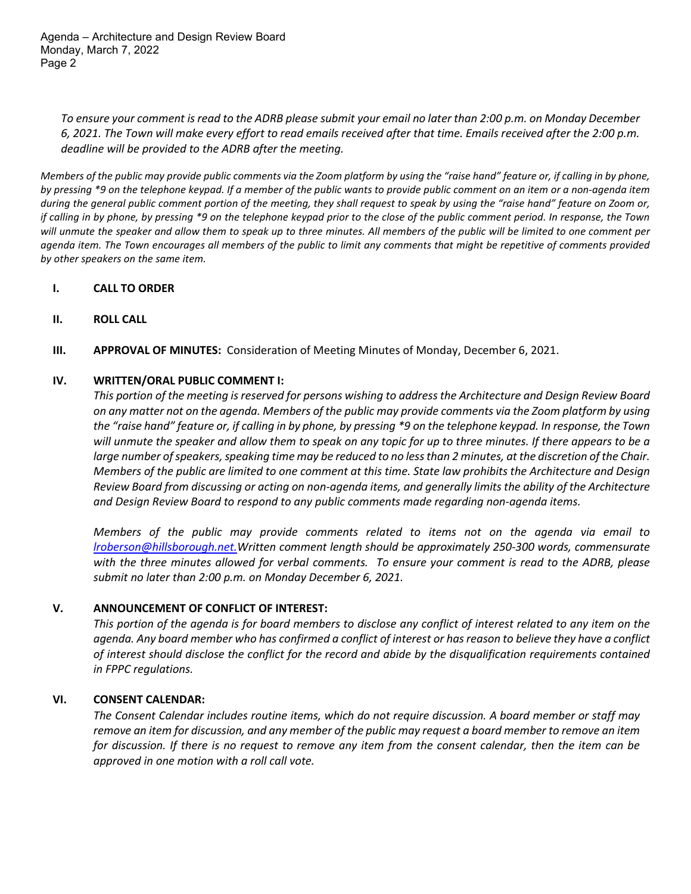Agenda – Architecture and Design Review Board Monday, March 7, 2022 Page 2

*To ensure your comment is read to the ADRB please submit your email no later than 2:00 p.m. on Monday December 6, 2021. The Town will make every effort to read emails received after that time. Emails received after the 2:00 p.m. deadline will be provided to the ADRB after the meeting.*

*Members of the public may provide public comments via the Zoom platform by using the "raise hand" feature or, if calling in by phone, by pressing \*9 on the telephone keypad. If a member of the public wants to provide public comment on an item or a non-agenda item during the general public comment portion of the meeting, they shall request to speak by using the "raise hand" feature on Zoom or, if calling in by phone, by pressing \*9 on the telephone keypad prior to the close of the public comment period. In response, the Town will unmute the speaker and allow them to speak up to three minutes. All members of the public will be limited to one comment per agenda item. The Town encourages all members of the public to limit any comments that might be repetitive of comments provided by other speakers on the same item.* 

#### **I. CALL TO ORDER**

- **II. ROLL CALL**
- **III. APPROVAL OF MINUTES:** Consideration of Meeting Minutes of Monday, December 6, 2021.

#### **IV. WRITTEN/ORAL PUBLIC COMMENT I:**

*This portion of the meeting is reserved for persons wishing to address the Architecture and Design Review Board on any matter not on the agenda. Members of the public may provide comments via the Zoom platform by using the "raise hand" feature or, if calling in by phone, by pressing \*9 on the telephone keypad. In response, the Town will unmute the speaker and allow them to speak on any topic for up to three minutes. If there appears to be a large number of speakers, speaking time may be reduced to no less than 2 minutes, at the discretion of the Chair. Members of the public are limited to one comment at this time. State law prohibits the Architecture and Design Review Board from discussing or acting on non-agenda items, and generally limits the ability of the Architecture and Design Review Board to respond to any public comments made regarding non-agenda items.*

*Members of the public may provide comments related to items not on the agenda via email to [lroberson@hillsborough.net.W](mailto:lroberson@hillsborough.net.)ritten comment length should be approximately 250-300 words, commensurate with the three minutes allowed for verbal comments. To ensure your comment is read to the ADRB, please submit no later than 2:00 p.m. on Monday December 6, 2021.*

#### **V. ANNOUNCEMENT OF CONFLICT OF INTEREST:**

*This portion of the agenda is for board members to disclose any conflict of interest related to any item on the agenda. Any board member who has confirmed a conflict of interest or has reason to believe they have a conflict of interest should disclose the conflict for the record and abide by the disqualification requirements contained in FPPC regulations.*

#### **VI. CONSENT CALENDAR:**

*The Consent Calendar includes routine items, which do not require discussion. A board member or staff may remove an item for discussion, and any member of the public may request a board member to remove an item for discussion. If there is no request to remove any item from the consent calendar, then the item can be approved in one motion with a roll call vote.*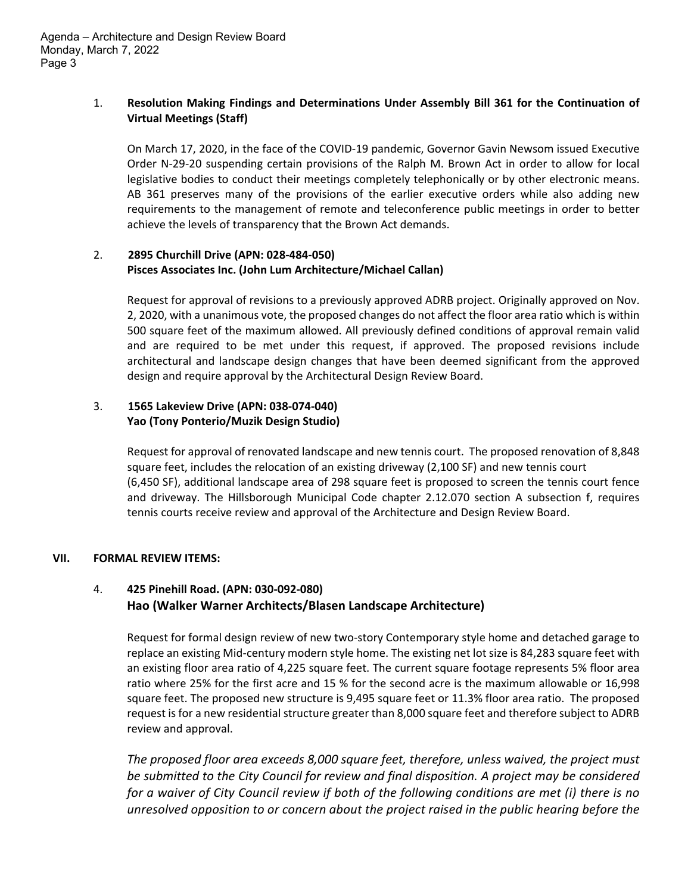Agenda – Architecture and Design Review Board Monday, March 7, 2022 Page 3

# 1. **Resolution Making Findings and Determinations Under Assembly Bill 361 for the Continuation of Virtual Meetings (Staff)**

On March 17, 2020, in the face of the COVID‐19 pandemic, Governor Gavin Newsom issued Executive Order N‐29‐20 suspending certain provisions of the Ralph M. Brown Act in order to allow for local legislative bodies to conduct their meetings completely telephonically or by other electronic means. AB 361 preserves many of the provisions of the earlier executive orders while also adding new requirements to the management of remote and teleconference public meetings in order to better achieve the levels of transparency that the Brown Act demands.

#### 2. **2895 Churchill Drive (APN: 028‐484‐050) Pisces Associates Inc. (John Lum Architecture/Michael Callan)**

Request for approval of revisions to a previously approved ADRB project. Originally approved on Nov. 2, 2020, with a unanimous vote, the proposed changes do not affect the floor area ratio which is within 500 square feet of the maximum allowed. All previously defined conditions of approval remain valid and are required to be met under this request, if approved. The proposed revisions include architectural and landscape design changes that have been deemed significant from the approved design and require approval by the Architectural Design Review Board.

# 3. **1565 Lakeview Drive (APN: 038‐074‐040) Yao (Tony Ponterio/Muzik Design Studio)**

Request for approval of renovated landscape and new tennis court. The proposed renovation of 8,848 square feet, includes the relocation of an existing driveway (2,100 SF) and new tennis court (6,450 SF), additional landscape area of 298 square feet is proposed to screen the tennis court fence and driveway. The Hillsborough Municipal Code chapter 2.12.070 section A subsection f, requires tennis courts receive review and approval of the Architecture and Design Review Board.

# **VII. FORMAL REVIEW ITEMS:**

# 4. **425 Pinehill Road. (APN: 030‐092‐080) Hao (Walker Warner Architects/Blasen Landscape Architecture)**

Request for formal design review of new two‐story Contemporary style home and detached garage to replace an existing Mid‐century modern style home. The existing net lot size is 84,283 square feet with an existing floor area ratio of 4,225 square feet. The current square footage represents 5% floor area ratio where 25% for the first acre and 15 % for the second acre is the maximum allowable or 16,998 square feet. The proposed new structure is 9,495 square feet or 11.3% floor area ratio. The proposed request is for a new residential structure greater than 8,000 square feet and therefore subject to ADRB review and approval.

*The proposed floor area exceeds 8,000 square feet, therefore, unless waived, the project must be submitted to the City Council for review and final disposition. A project may be considered* for a waiver of City Council review if both of the following conditions are met (i) there is no *unresolved opposition to or concern about the project raised in the public hearing before the*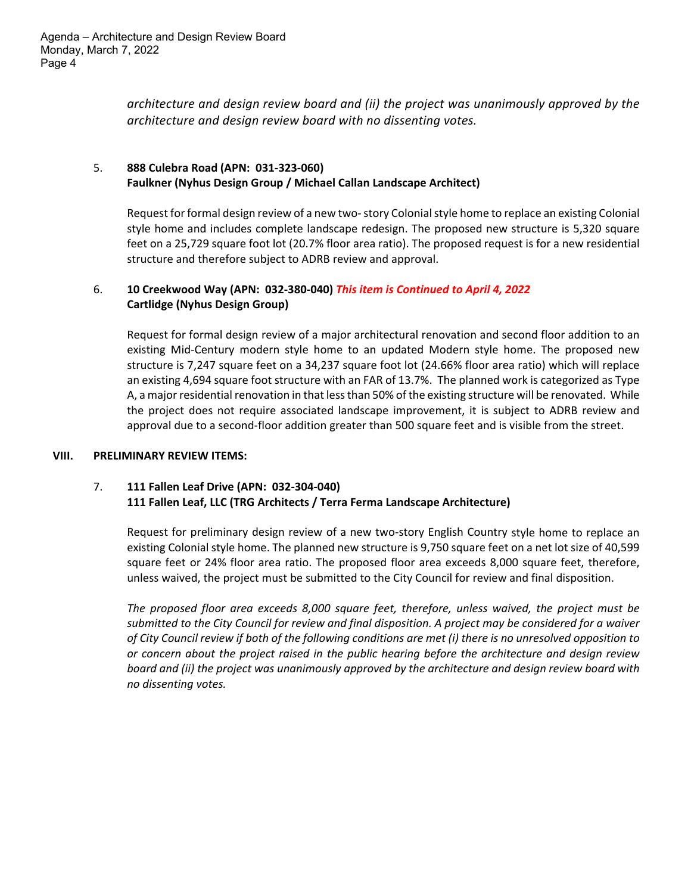*architecture and design review board and (ii) the project was unanimously approved by the architecture and design review board with no dissenting votes.*

# 5. **888 Culebra Road (APN: 031‐323‐060) Faulkner (Nyhus Design Group / Michael Callan Landscape Architect)**

Request for formal design review of a new two-story Colonial style home to replace an existing Colonial style home and includes complete landscape redesign. The proposed new structure is 5,320 square feet on a 25,729 square foot lot (20.7% floor area ratio). The proposed request is for a new residential structure and therefore subject to ADRB review and approval.

# 6. **10 Creekwood Way (APN: 032‐380‐040)** *This item is Continued to April 4, 2022* **Cartlidge (Nyhus Design Group)**

Request for formal design review of a major architectural renovation and second floor addition to an existing Mid‐Century modern style home to an updated Modern style home. The proposed new structure is 7,247 square feet on a 34,237 square foot lot (24.66% floor area ratio) which will replace an existing 4,694 square foot structure with an FAR of 13.7%. The planned work is categorized as Type A, a major residential renovation in that less than 50% of the existing structure will be renovated. While the project does not require associated landscape improvement, it is subject to ADRB review and approval due to a second‐floor addition greater than 500 square feet and is visible from the street.

#### **VIII. PRELIMINARY REVIEW ITEMS:**

# 7. **111 Fallen Leaf Drive (APN: 032‐304‐040) 111 Fallen Leaf, LLC (TRG Architects / Terra Ferma Landscape Architecture)**

Request for preliminary design review of a new two-story English Country style home to replace an existing Colonial style home. The planned new structure is 9,750 square feet on a net lot size of 40,599 square feet or 24% floor area ratio. The proposed floor area exceeds 8,000 square feet, therefore, unless waived, the project must be submitted to the City Council for review and final disposition.

*The proposed floor area exceeds 8,000 square feet, therefore, unless waived, the project must be* submitted to the City Council for review and final disposition. A project may be considered for a waiver of City Council review if both of the following conditions are met (i) there is no unresolved opposition to *or concern about the project raised in the public hearing before the architecture and design review board and (ii) the project was unanimously approved by the architecture and design review board with no dissenting votes.*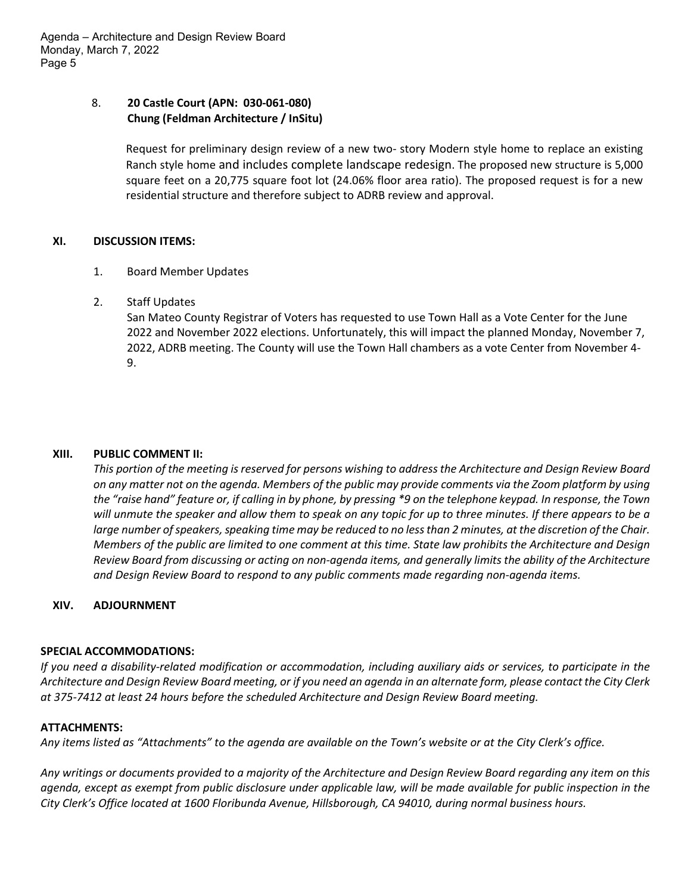Agenda – Architecture and Design Review Board Monday, March 7, 2022 Page 5

#### 8. **20 Castle Court (APN: 030-061-080) Chung (Feldman Architecture / InSitu)**

Request for preliminary design review of a new two- story Modern style home to replace an existing Ranch style home and includes complete landscape redesign. The proposed new structure is 5,000 square feet on a 20,775 square foot lot (24.06% floor area ratio). The proposed request is for a new residential structure and therefore subject to ADRB review and approval.

#### **XI. DISCUSSION ITEMS:**

- 1. Board Member Updates
- 2. Staff Updates

San Mateo County Registrar of Voters has requested to use Town Hall as a Vote Center for the June 2022 and November 2022 elections. Unfortunately, this will impact the planned Monday, November 7, 2022, ADRB meeting. The County will use the Town Hall chambers as a vote Center from November 4- 9.

#### **XIII. PUBLIC COMMENT II:**

*This portion of the meeting is reserved for persons wishing to address the Architecture and Design Review Board on any matter not on the agenda. Members of the public may provide comments via the Zoom platform by using the "raise hand" feature or, if calling in by phone, by pressing \*9 on the telephone keypad. In response, the Town will unmute the speaker and allow them to speak on any topic for up to three minutes. If there appears to be a large number of speakers, speaking time may be reduced to no less than 2 minutes, at the discretion of the Chair. Members of the public are limited to one comment at this time. State law prohibits the Architecture and Design Review Board from discussing or acting on non-agenda items, and generally limits the ability of the Architecture and Design Review Board to respond to any public comments made regarding non-agenda items.*

# **XIV. ADJOURNMENT**

#### **SPECIAL ACCOMMODATIONS:**

*If you need a disability-related modification or accommodation, including auxiliary aids or services, to participate in the Architecture and Design Review Board meeting, or if you need an agenda in an alternate form, please contact the City Clerk at 375-7412 at least 24 hours before the scheduled Architecture and Design Review Board meeting.*

#### **ATTACHMENTS:**

*Any items listed as "Attachments" to the agenda are available on the Town's website or at the City Clerk's office.*

*Any writings or documents provided to a majority of the Architecture and Design Review Board regarding any item on this agenda, except as exempt from public disclosure under applicable law, will be made available for public inspection in the City Clerk's Office located at 1600 Floribunda Avenue, Hillsborough, CA 94010, during normal business hours.*